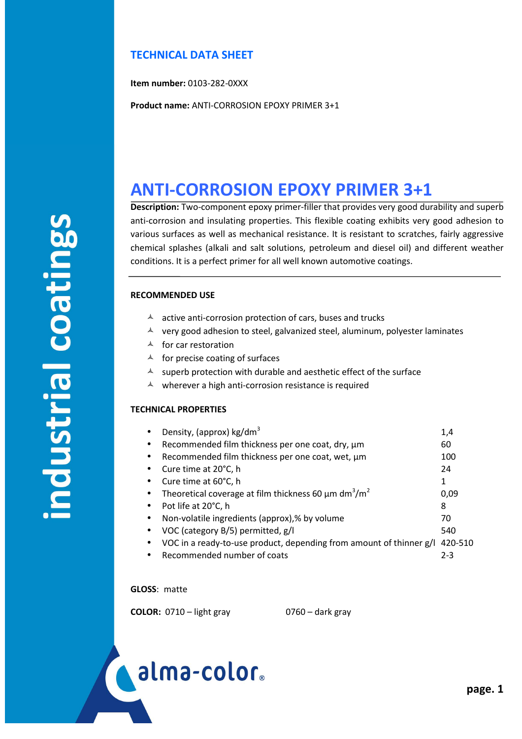# **TECHNICAL DATA SHEET**

**Item number:** 0103-282-0XXX

**Product name:** ANTI-CORROSION EPOXY PRIMER 3+1

# **ANTI-CORROSION EPOXY PRIMER 3+1**

**Description:** Two-component epoxy primer-filler that provides very good durability and superb anti-corrosion and insulating properties. This flexible coating exhibits very good adhesion to various surfaces as well as mechanical resistance. It is resistant to scratches, fairly aggressive chemical splashes (alkali and salt solutions, petroleum and diesel oil) and different weather conditions. It is a perfect primer for all well known automotive coatings.

## **RECOMMENDED USE**

- $\lambda$  active anti-corrosion protection of cars, buses and trucks
- $\lambda$  very good adhesion to steel, galvanized steel, aluminum, polyester laminates
- $\lambda$  for car restoration
- $\triangle$  for precise coating of surfaces
- $\triangle$  superb protection with durable and aesthetic effect of the surface
- $\triangle$  wherever a high anti-corrosion resistance is required

## **TECHNICAL PROPERTIES**

| $\bullet$ | Density, (approx) kg/dm <sup>3</sup>                                              | 1,4   |
|-----------|-----------------------------------------------------------------------------------|-------|
| $\bullet$ | Recommended film thickness per one coat, dry, µm                                  | 60    |
|           | Recommended film thickness per one coat, wet, µm                                  | 100   |
|           | Cure time at 20°C, h                                                              | 24    |
|           | Cure time at 60°C, h                                                              | 1     |
| $\bullet$ | Theoretical coverage at film thickness 60 $\mu$ m dm <sup>3</sup> /m <sup>2</sup> | 0.09  |
|           | Pot life at 20°C, h                                                               | 8     |
|           | Non-volatile ingredients (approx),% by volume                                     | 70    |
|           | VOC (category B/5) permitted, g/l                                                 | 540   |
|           | VOC in a ready-to-use product, depending from amount of thinner $g/1$ 420-510     |       |
|           | Recommended number of coats                                                       | $2-3$ |

**GLOSS**: matte

**COLOR:** 0710 – light gray 0760 – dark gray

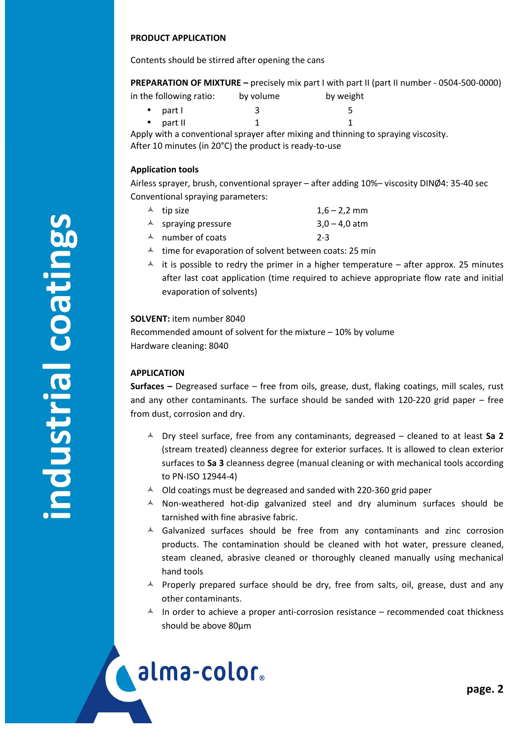#### **PRODUCT APPLICATION**

Contents should be stirred after opening the cans

**PREPARATION OF MIXTURE –** precisely mix part I with part II (part II number - 0504-500-0000)

| in the following ratio: | by volume | by weight |  |
|-------------------------|-----------|-----------|--|
| $\bullet$ part l        |           |           |  |
|                         |           |           |  |

• part II  $1$   $1$   $1$ 

Apply with a conventional sprayer after mixing and thinning to spraying viscosity. After 10 minutes (in 20°C) the product is ready-to-use

#### **Application tools**

Airless sprayer, brush, conventional sprayer – after adding 10%– viscosity DINØ4: 35-40 sec Conventional spraying parameters:

- $\lambda$  tip size  $1,6-2,2$  mm
- $\triangle$  spraying pressure 3,0 4,0 atm
- A number of coats 2-3
- $\lambda$  time for evaporation of solvent between coats: 25 min
- $\overrightarrow{A}$  it is possible to redry the primer in a higher temperature after approx. 25 minutes after last coat application (time required to achieve appropriate flow rate and initial evaporation of solvents)

#### **SOLVENT:** item number 8040

Recommended amount of solvent for the mixture – 10% by volume Hardware cleaning: 8040

#### **APPLICATION**

í

alma-color.

**Surfaces –** Degreased surface – free from oils, grease, dust, flaking coatings, mill scales, rust and any other contaminants. The surface should be sanded with  $120-220$  grid paper – free from dust, corrosion and dry.

- $\triangle$  Dry steel surface, free from any contaminants, degreased cleaned to at least Sa 2 (stream treated) cleanness degree for exterior surfaces. It is allowed to clean exterior surfaces to **Sa 3** cleanness degree (manual cleaning or with mechanical tools according to PN-ISO 12944-4)
- $\sim$  Old coatings must be degreased and sanded with 220-360 grid paper
- $\triangle$  Non-weathered hot-dip galvanized steel and dry aluminum surfaces should be tarnished with fine abrasive fabric.
- $\triangle$  Galvanized surfaces should be free from any contaminants and zinc corrosion products. The contamination should be cleaned with hot water, pressure cleaned, steam cleaned, abrasive cleaned or thoroughly cleaned manually using mechanical hand tools
- $\triangle$  Properly prepared surface should be dry, free from salts, oil, grease, dust and any other contaminants.
- $\uparrow$  In order to achieve a proper anti-corrosion resistance recommended coat thickness should be above 80µm